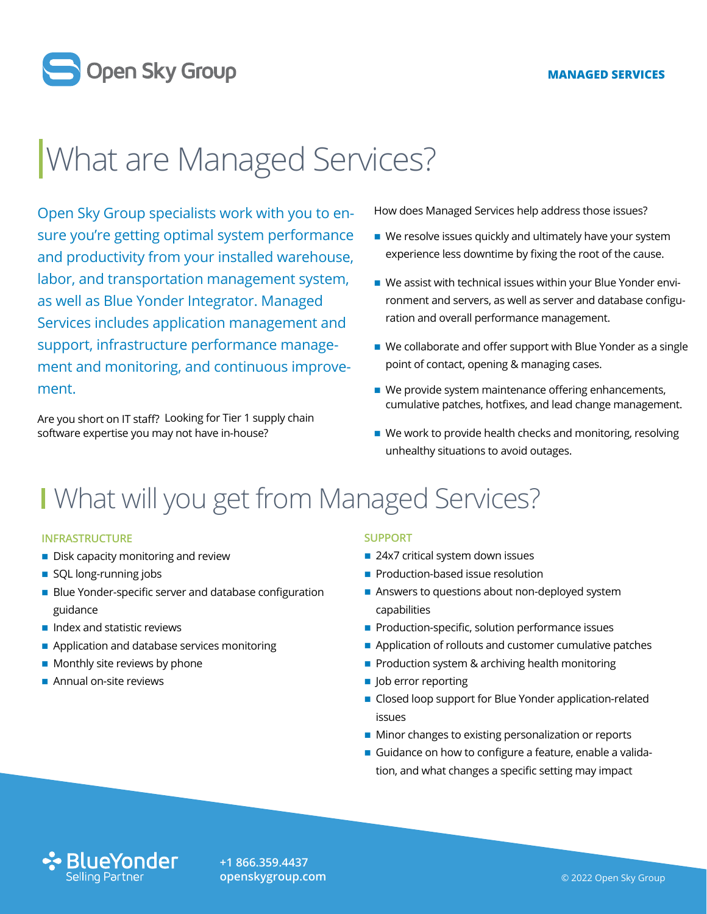

# What are Managed Services?

Open Sky Group specialists work with you to ensure you're getting optimal system performance and productivity from your installed warehouse, labor, and transportation management system, as well as Blue Yonder Integrator. Managed Services includes application management and support, infrastructure performance management and monitoring, and continuous improvement.

Are you short on IT staff? Looking for Tier 1 supply chain software expertise you may not have in-house?

How does Managed Services help address those issues?

- We resolve issues quickly and ultimately have your system experience less downtime by fixing the root of the cause.
- We assist with technical issues within your Blue Yonder environment and servers, as well as server and database configuration and overall performance management.
- We collaborate and offer support with Blue Yonder as a single point of contact, opening & managing cases.
- $\blacksquare$  We provide system maintenance offering enhancements, cumulative patches, hotfixes, and lead change management.
- $\blacksquare$  We work to provide health checks and monitoring, resolving unhealthy situations to avoid outages.

### I What will you get from Managed Services?

#### **INFRASTRUCTURE**

- **Disk capacity monitoring and review**
- SQL long-running jobs
- **Blue Yonder-specific server and database configuration** guidance
- $\blacksquare$  Index and statistic reviews
- Application and database services monitoring
- $\blacksquare$  Monthly site reviews by phone
- Annual on-site reviews

#### **SUPPORT**

- 24x7 critical system down issues
- **Production-based issue resolution**
- Answers to questions about non-deployed system capabilities
- **Production-specific, solution performance issues**
- Application of rollouts and customer cumulative patches
- **Production system & archiving health monitoring**
- **Job error reporting**
- Closed loop support for Blue Yonder application-related issues
- Minor changes to existing personalization or reports
- Guidance on how to configure a feature, enable a validation, and what changes a specific setting may impact



**+1 866.359.4437 [openskygroup.com](http://openskygroup.com)**